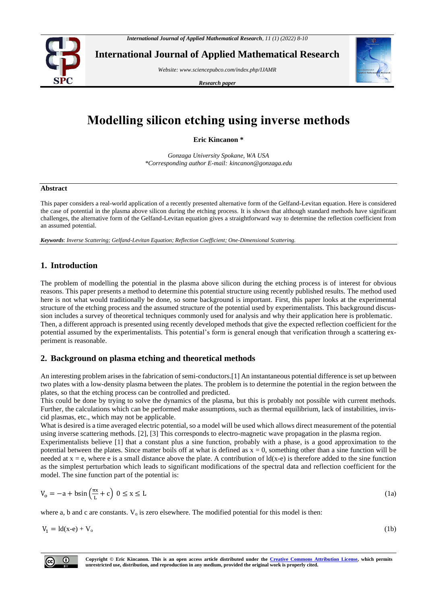

**International Journal of Applied Mathematical Research**

*Website[: www.sciencepubco.com/index.php/IJAMR](http://www.sciencepubco.com/index.php/IJAMR)*

*Research paper*



# **Modelling silicon etching using inverse methods**

**Eric Kincanon \***

*Gonzaga University Spokane, WA USA \*Corresponding author E-mail: kincanon@gonzaga.edu*

#### **Abstract**

This paper considers a real-world application of a recently presented alternative form of the Gelfand-Levitan equation. Here is considered the case of potential in the plasma above silicon during the etching process. It is shown that although standard methods have significant challenges, the alternative form of the Gelfand-Levitan equation gives a straightforward way to determine the reflection coefficient from an assumed potential.

*Keywords*: *Inverse Scattering; Gelfand-Levitan Equation; Reflection Coefficient; One-Dimensional Scattering.*

# **1. Introduction**

The problem of modelling the potential in the plasma above silicon during the etching process is of interest for obvious reasons. This paper presents a method to determine this potential structure using recently published results. The method used here is not what would traditionally be done, so some background is important. First, this paper looks at the experimental structure of the etching process and the assumed structure of the potential used by experimentalists. This background discussion includes a survey of theoretical techniques commonly used for analysis and why their application here is problematic. Then, a different approach is presented using recently developed methods that give the expected reflection coefficient for the potential assumed by the experimentalists. This potential's form is general enough that verification through a scattering experiment is reasonable.

# **2. Background on plasma etching and theoretical methods**

An interesting problem arises in the fabrication of semi-conductors.[1] An instantaneous potential difference is set up between two plates with a low-density plasma between the plates. The problem is to determine the potential in the region between the plates, so that the etching process can be controlled and predicted.

This could be done by trying to solve the dynamics of the plasma, but this is probably not possible with current methods. Further, the calculations which can be performed make assumptions, such as thermal equilibrium, lack of instabilities, inviscid plasmas, etc., which may not be applicable.

What is desired is a time averaged electric potential, so a model will be used which allows direct measurement of the potential using inverse scattering methods. [2], [3] This corresponds to electro-magnetic wave propagation in the plasma region.

Experimentalists believe [1] that a constant plus a sine function, probably with a phase, is a good approximation to the potential between the plates. Since matter boils off at what is defined as  $x = 0$ , something other than a sine function will be needed at  $x = e$ , where e is a small distance above the plate. A contribution of  $ld(x-e)$  is therefore added to the sine function as the simplest perturbation which leads to significant modifications of the spectral data and reflection coefficient for the model. The sine function part of the potential is:

$$
V_0 = -a + b\sin\left(\frac{\pi x}{L} + c\right) \quad 0 \le x \le L \tag{1a}
$$

where a, b and c are constants.  $V_0$  is zero elsewhere. The modified potential for this model is then:

 $V_1 = Id(x-e) + V_0$  (1b)



**Copyright © Eric Kincanon. This is an open access article distributed under the [Creative Commons Attribution License,](http://creativecommons.org/licenses/by/3.0/) which permits unrestricted use, distribution, and reproduction in any medium, provided the original work is properly cited.**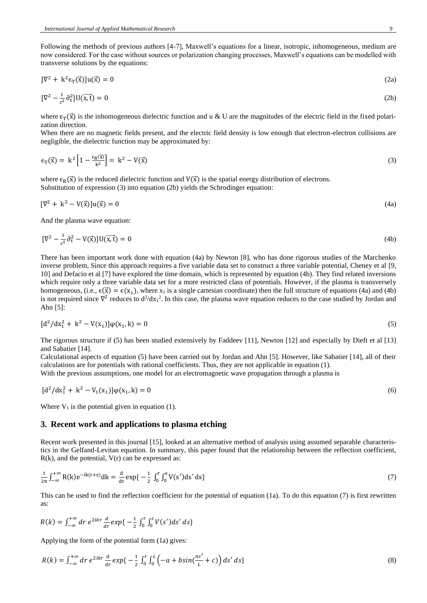Following the methods of previous authors [4-7], Maxwell's equations for a linear, isotropic, inhomogeneous, medium are now considered. For the case without sources or polarization changing processes, Maxwell's equations can be modelled with transverse solutions by the equations:

$$
[\nabla^2 + k^2 \epsilon_T(\vec{x})]u(\vec{x}) = 0
$$
\n(2a)

$$
[\nabla^2 - \frac{1}{c^2} \partial_t^2] U(\overrightarrow{x,t}) = 0 \tag{2b}
$$

where  $\epsilon_{\text{T}}(\vec{x})$  is the inhomogeneous dielectric function and u & U are the magnitudes of the electric field in the fixed polarization direction.

When there are no magnetic fields present, and the electric field density is low enough that electron-electron collisions are negligible, the dielectric function may be approximated by:

$$
\epsilon_{\mathcal{T}}(\vec{x}) = k^2 \left[ 1 - \frac{\epsilon_{\mathcal{R}}(\vec{x})}{k^2} \right] = k^2 - V(\vec{x}) \tag{3}
$$

where  $\epsilon_R(\vec{x})$  is the reduced dielectric function and  $V(\vec{x})$  is the spatial energy distribution of electrons. Substitution of expression (3) into equation (2b) yields the Schrodinger equation:

$$
[\nabla^2 + \mathbf{k}^2 - \mathbf{V}(\vec{\mathbf{x}})]\mathbf{u}(\vec{\mathbf{x}}) = 0\tag{4a}
$$

And the plasma wave equation:

$$
[\nabla^2 - \frac{1}{c^2} \partial_t^2 - V(\vec{x})]U(\vec{x}, \vec{t}) = 0
$$
\n(4b)

There has been important work done with equation (4a) by Newton [8], who has done rigorous studies of the Marchenko inverse problem, Since this approach requires a five variable data set to construct a three variable potential, Cheney et al [9, 10] and Defacio et al [7] have explored the time domain, which is represented by equation (4b). They find related inversions which require only a three variable data set for a more restricted class of potentials. However, if the plasma is transversely homogeneous, (i.e.,  $\epsilon(\vec{x}) = \epsilon(x_1)$ , where  $x_1$  is a single cartesian coordinate) then the full structure of equations (4a) and (4b) is not required since  $\nabla^2$  reduces to  $d^2/dx_1^2$ . In this case, the plasma wave equation reduces to the case studied by Jordan and Ahn [5]:

$$
[d^2/dx_1^2 + k^2 - V(x_1)]\phi(x_1, k) = 0
$$
\n(5)

The rigorous structure if (5) has been studied extensively by Faddeev [11], Newton [12] and especially by Dieft et al [13] and Sabatier [14].

Calculational aspects of equation (5) have been carried out by Jordan and Ahn [5]. However, like Sabatier [14], all of their calculations are for potentials with rational coefficients. Thus, they are not applicable in equation (1).

With the previous assumptions, one model for an electromagnetic wave propagation through a plasma is

$$
[d^2/dx_1^2 + k^2 - V_1(x_1)]\phi(x_1, k) = 0
$$
\n(6)

Where  $V_1$  is the potential given in equation (1).

# **3. Recent work and applications to plasma etching**

Recent work presented in this journal [15], looked at an alternative method of analysis using assumed separable characteristics in the Gelfand-Levitan equation. In summary, this paper found that the relationship between the reflection coefficient,  $R(k)$ , and the potential,  $V(r)$  can be expressed as:

$$
\frac{1}{2\pi} \int_{-\infty}^{+\infty} R(k) e^{-ik(r+s)} dk = \frac{d}{dr} \exp\{-\frac{1}{2} \int_0^r \int_0^s V(s') ds' ds\}
$$
(7)

This can be used to find the reflection coefficient for the potential of equation (1a). To do this equation (7) is first rewritten as:

$$
R(k) = \int_{-\infty}^{+\infty} dr \ e^{2ikr} \frac{d}{dr} exp\{-\frac{1}{2} \int_0^r \int_0^s V(s') ds' ds\}
$$

Applying the form of the potential form (1a) gives:

$$
R(k) = \int_{-\infty}^{+\infty} dr \ e^{2ikr} \frac{d}{dr} exp\{-\frac{1}{2} \int_0^r \int_0^L \left(-a + b\sin(\frac{\pi s'}{L} + c)\right) ds' ds\}
$$
\n<sup>(8)</sup>